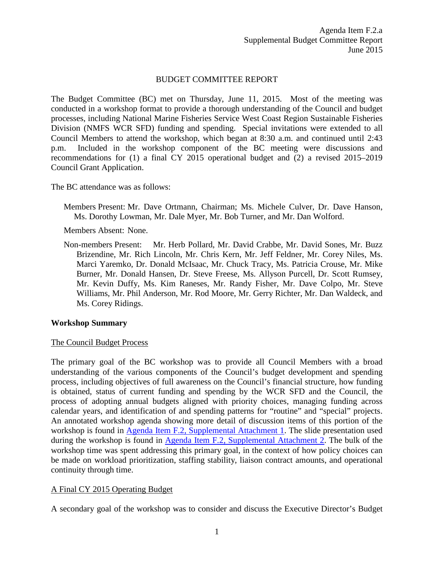#### BUDGET COMMITTEE REPORT

The Budget Committee (BC) met on Thursday, June 11, 2015. Most of the meeting was conducted in a workshop format to provide a thorough understanding of the Council and budget processes, including National Marine Fisheries Service West Coast Region Sustainable Fisheries Division (NMFS WCR SFD) funding and spending. Special invitations were extended to all Council Members to attend the workshop, which began at 8:30 a.m. and continued until 2:43 p.m. Included in the workshop component of the BC meeting were discussions and recommendations for (1) a final CY 2015 operational budget and (2) a revised 2015–2019 Council Grant Application.

The BC attendance was as follows:

Members Present: Mr. Dave Ortmann, Chairman; Ms. Michele Culver, Dr. Dave Hanson, Ms. Dorothy Lowman, Mr. Dale Myer, Mr. Bob Turner, and Mr. Dan Wolford.

Members Absent: None.

Non-members Present: Mr. Herb Pollard, Mr. David Crabbe, Mr. David Sones, Mr. Buzz Brizendine, Mr. Rich Lincoln, Mr. Chris Kern, Mr. Jeff Feldner, Mr. Corey Niles, Ms. Marci Yaremko, Dr. Donald McIsaac, Mr. Chuck Tracy, Ms. Patricia Crouse, Mr. Mike Burner, Mr. Donald Hansen, Dr. Steve Freese, Ms. Allyson Purcell, Dr. Scott Rumsey, Mr. Kevin Duffy, Ms. Kim Raneses, Mr. Randy Fisher, Mr. Dave Colpo, Mr. Steve Williams, Mr. Phil Anderson, Mr. Rod Moore, Mr. Gerry Richter, Mr. Dan Waldeck, and Ms. Corey Ridings.

### **Workshop Summary**

#### The Council Budget Process

The primary goal of the BC workshop was to provide all Council Members with a broad understanding of the various components of the Council's budget development and spending process, including objectives of full awareness on the Council's financial structure, how funding is obtained, status of current funding and spending by the WCR SFD and the Council, the process of adopting annual budgets aligned with priority choices, managing funding across calendar years, and identification of and spending patterns for "routine" and "special" projects. An annotated workshop agenda showing more detail of discussion items of this portion of the workshop is found in [Agenda Item F.2, Supplemental Attachment 1.](http://www.pcouncil.org/wp-content/uploads/2015/06/F2_SupAtt1_BC_StaffRpt1_WSAgenda_E-ONLY_JUNE2015BB.pdf) The slide presentation used during the workshop is found in [Agenda Item F.2, Supplemental Attachment 2.](http://www.pcouncil.org/wp-content/uploads/2015/06/F2_SupAtt2_PFMC-WCR_PPT_E-ONLY_JUN2015BB.pdf) The bulk of the workshop time was spent addressing this primary goal, in the context of how policy choices can be made on workload prioritization, staffing stability, liaison contract amounts, and operational continuity through time.

### A Final CY 2015 Operating Budget

A secondary goal of the workshop was to consider and discuss the Executive Director's Budget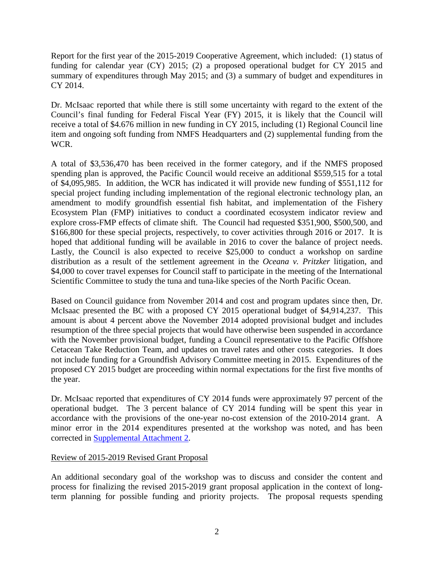Report for the first year of the 2015-2019 Cooperative Agreement, which included: (1) status of funding for calendar year (CY) 2015; (2) a proposed operational budget for CY 2015 and summary of expenditures through May 2015; and (3) a summary of budget and expenditures in CY 2014.

Dr. McIsaac reported that while there is still some uncertainty with regard to the extent of the Council's final funding for Federal Fiscal Year (FY) 2015, it is likely that the Council will receive a total of \$4.676 million in new funding in CY 2015, including (1) Regional Council line item and ongoing soft funding from NMFS Headquarters and (2) supplemental funding from the WCR.

A total of \$3,536,470 has been received in the former category, and if the NMFS proposed spending plan is approved, the Pacific Council would receive an additional \$559,515 for a total of \$4,095,985. In addition, the WCR has indicated it will provide new funding of \$551,112 for special project funding including implementation of the regional electronic technology plan, an amendment to modify groundfish essential fish habitat, and implementation of the Fishery Ecosystem Plan (FMP) initiatives to conduct a coordinated ecosystem indicator review and explore cross-FMP effects of climate shift. The Council had requested \$351,900, \$500,500, and \$166,800 for these special projects, respectively, to cover activities through 2016 or 2017. It is hoped that additional funding will be available in 2016 to cover the balance of project needs. Lastly, the Council is also expected to receive \$25,000 to conduct a workshop on sardine distribution as a result of the settlement agreement in the *Oceana v. Pritzker* litigation, and \$4,000 to cover travel expenses for Council staff to participate in the meeting of the International Scientific Committee to study the tuna and tuna-like species of the North Pacific Ocean.

Based on Council guidance from November 2014 and cost and program updates since then, Dr. McIsaac presented the BC with a proposed CY 2015 operational budget of \$4,914,237. This amount is about 4 percent above the November 2014 adopted provisional budget and includes resumption of the three special projects that would have otherwise been suspended in accordance with the November provisional budget, funding a Council representative to the Pacific Offshore Cetacean Take Reduction Team, and updates on travel rates and other costs categories. It does not include funding for a Groundfish Advisory Committee meeting in 2015. Expenditures of the proposed CY 2015 budget are proceeding within normal expectations for the first five months of the year.

Dr. McIsaac reported that expenditures of CY 2014 funds were approximately 97 percent of the operational budget. The 3 percent balance of CY 2014 funding will be spent this year in accordance with the provisions of the one-year no-cost extension of the 2010-2014 grant. A minor error in the 2014 expenditures presented at the workshop was noted, and has been corrected in [Supplemental Attachment 2.](http://www.pcouncil.org/wp-content/uploads/2015/06/F2_SupAtt2_PFMC-WCR_PPT_E-ONLY_JUN2015BB.pdf)

# Review of 2015-2019 Revised Grant Proposal

An additional secondary goal of the workshop was to discuss and consider the content and process for finalizing the revised 2015-2019 grant proposal application in the context of longterm planning for possible funding and priority projects. The proposal requests spending